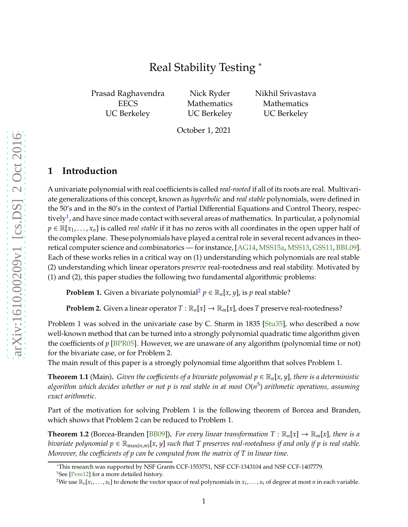# Real Stability Testing <sup>∗</sup>

Prasad Raghavendra **EECS** UC Berkeley

Nick Ryder Mathematics UC Berkeley Nikhil Srivastava Mathematics UC Berkeley

October 1, 2021

### **1 Introduction**

A univariate polynomial with real coefficients is called *real-rooted* if all of its roots are real. Multivariate generalizations of this concept, known as *hyperbolic* and *real stable* polynomials, were defined in the 50's and in the 80's in the context of Partial Differential Equations and Control Theory, respectively $^1$  $^1$ , and have since made contact with several areas of mathematics. In particular, a polynomial  $p \in \mathbb{R}[x_1, \ldots, x_n]$  is called *real stable* if it has no zeros with all coordinates in the open upper half of the complex plane. These polynomials have played a central role in several recent advances in theoretical computer science and combinatorics — for instance, [\[AG14,](#page-13-0) [MSS15a,](#page-14-0) [MSS13,](#page-14-1) [GSS11,](#page-13-1) [BBL09\]](#page-13-2). Each of these works relies in a critical way on (1) understanding which polynomials are real stable (2) understanding which linear operators *preserve* real-rootedness and real stability. Motivated by (1) and (2), this paper studies the following two fundamental algorithmic problems:

**Problem 1.** Given a bivariate polynomial<sup>[2](#page-0-1)</sup>  $p \in \mathbb{R}_n[x, y]$ , is *p* real stable?

**Problem 2.** Given a linear operator  $T : \mathbb{R}_n[x] \to \mathbb{R}_m[x]$ , does *T* preserve real-rootedness?

Problem 1 was solved in the univariate case by C. Sturm in 1835 [\[Stu35\]](#page-14-2), who described a now well-known method that can be turned into a strongly polynomial quadratic time algorithm given the coefficients of *p* [\[BPR05\]](#page-13-3). However, we are unaware of any algorithm (polynomial time or not) for the bivariate case, or for Problem 2.

The main result of this paper is a strongly polynomial time algorithm that solves Problem 1.

<span id="page-0-2"></span>**Theorem 1.1** (Main). *Given the coefficients of a bivariate polynomial*  $p \in \mathbb{R}_n[x, y]$ *, there is a deterministic algorithm which decides whether or not p is real stable in at most O*(*n* 5 ) *arithmetic operations, assuming exact arithmetic.*

Part of the motivation for solving Problem 1 is the following theorem of Borcea and Branden, which shows that Problem 2 can be reduced to Problem 1.

**Theorem 1.2** (Borcea-Branden [\[BB09\]](#page-13-4)). For every linear transformation  $T : \mathbb{R}_n[x] \to \mathbb{R}_m[x]$ , there is a bivariate polynomial  $p \in \mathbb{R}_{\max(n,m)}[x,y]$  such that T preserves real-rootedness if and only if  $p$  is real stable. *Moreover, the coe*ffi*cients of p can be computed from the matrix of T in linear time.*

<sup>∗</sup>This research was supported by NSF Grants CCF-1553751, NSF CCF-1343104 and NSF CCF-1407779.

<sup>&</sup>lt;sup>1</sup>See [\[Pem12\]](#page-14-3) for a more detailed history.

<span id="page-0-1"></span><span id="page-0-0"></span><sup>&</sup>lt;sup>2</sup>We use  $\mathbb{R}_n[x_1,\ldots,x_k]$  to denote the vector space of real polynomials in  $x_1,\ldots,x_k$  of degree at most *n* in each variable.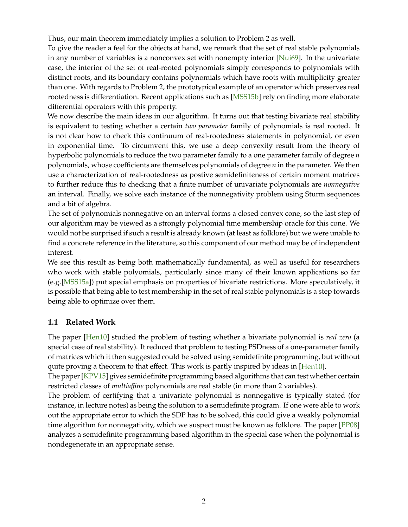Thus, our main theorem immediately implies a solution to Problem 2 as well.

To give the reader a feel for the objects at hand, we remark that the set of real stable polynomials in any number of variables is a nonconvex set with nonempty interior [\[Nui69\]](#page-14-4). In the univariate case, the interior of the set of real-rooted polynomials simply corresponds to polynomials with distinct roots, and its boundary contains polynomials which have roots with multiplicity greater than one. With regards to Problem 2, the prototypical example of an operator which preserves real rootedness is differentiation. Recent applications such as [\[MSS15b\]](#page-14-5) rely on finding more elaborate differential operators with this property.

We now describe the main ideas in our algorithm. It turns out that testing bivariate real stability is equivalent to testing whether a certain *two parameter* family of polynomials is real rooted. It is not clear how to check this continuum of real-rootedness statements in polynomial, or even in exponential time. To circumvent this, we use a deep convexity result from the theory of hyperbolic polynomials to reduce the two parameter family to a one parameter family of degree *n* polynomials, whose coefficients are themselves polynomials of degree *n* in the parameter. We then use a characterization of real-rootedness as postive semidefiniteness of certain moment matrices to further reduce this to checking that a finite number of univariate polynomials are *nonnegative* an interval. Finally, we solve each instance of the nonnegativity problem using Sturm sequences and a bit of algebra.

The set of polynomials nonnegative on an interval forms a closed convex cone, so the last step of our algorithm may be viewed as a strongly polynomial time membership oracle for this cone. We would not be surprised if such a result is already known (at least as folklore) but we were unable to find a concrete reference in the literature, so this component of our method may be of independent interest.

We see this result as being both mathematically fundamental, as well as useful for researchers who work with stable polyomials, particularly since many of their known applications so far (e.g.[\[MSS15a\]](#page-14-0)) put special emphasis on properties of bivariate restrictions. More speculatively, it is possible that being able to test membership in the set of real stable polynomials is a step towards being able to optimize over them.

## **1.1 Related Work**

The paper [\[Hen10\]](#page-13-5) studied the problem of testing whether a bivariate polynomial is *real zero* (a special case of real stability). It reduced that problem to testing PSDness of a one-parameter family of matrices which it then suggested could be solved using semidefinite programming, but without quite proving a theorem to that effect. This work is partly inspired by ideas in [\[Hen10\]](#page-13-5).

The paper [\[KPV15\]](#page-13-6) gives semidefinite programming based algorithms that can test whether certain restricted classes of *multia*ffi*ne* polynomials are real stable (in more than 2 variables).

The problem of certifying that a univariate polynomial is nonnegative is typically stated (for instance, in lecture notes) as being the solution to a semidefinite program. If one were able to work out the appropriate error to which the SDP has to be solved, this could give a weakly polynomial time algorithm for nonnegativity, which we suspect must be known as folklore. The paper  $[PPO8]$ analyzes a semidefinite programming based algorithm in the special case when the polynomial is nondegenerate in an appropriate sense.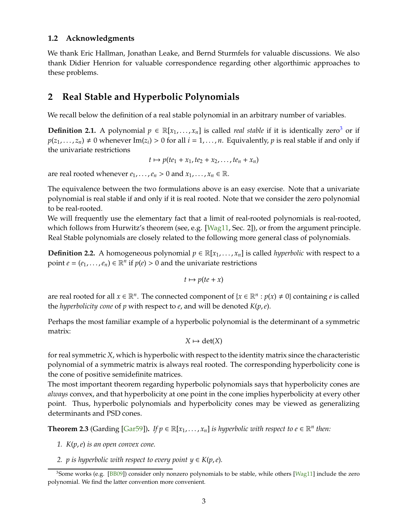## **1.2 Acknowledgments**

We thank Eric Hallman, Jonathan Leake, and Bernd Sturmfels for valuable discussions. We also thank Didier Henrion for valuable correspondence regarding other algorthimic approaches to these problems.

## **2 Real Stable and Hyperbolic Polynomials**

We recall below the definition of a real stable polynomial in an arbitrary number of variables.

**Definition 2.1.** A polynomial  $p \in \mathbb{R}[x_1, \ldots, x_n]$  is called *real stable* if it is identically zero<sup>[3](#page-2-0)</sup> or if  $p(z_1, \ldots, z_n) \neq 0$  whenever Im( $z_i$ ) > 0 for all  $i = 1, \ldots, n$ . Equivalently, *p* is real stable if and only if the univariate restrictions

$$
t\mapsto p(te_1+x_1,te_2+x_2,\ldots,te_n+x_n)
$$

are real rooted whenever  $e_1, \ldots, e_n > 0$  and  $x_1, \ldots, x_n \in \mathbb{R}$ .

The equivalence between the two formulations above is an easy exercise. Note that a univariate polynomial is real stable if and only if it is real rooted. Note that we consider the zero polynomial to be real-rooted.

We will frequently use the elementary fact that a limit of real-rooted polynomials is real-rooted, which follows from Hurwitz's theorem (see, e.g. [\[Wag11,](#page-14-7) Sec. 2]), or from the argument principle. Real Stable polynomials are closely related to the following more general class of polynomials.

**Definition 2.2.** A homogeneous polynomial  $p \in \mathbb{R}[x_1, \ldots, x_n]$  is called *hyperbolic* with respect to a point  $e = (e_1, \ldots, e_n) \in \mathbb{R}^n$  if  $p(e) > 0$  and the univariate restrictions

 $t \mapsto p(te + x)$ 

are real rooted for all  $x \in \mathbb{R}^n$ . The connected component of  $\{x \in \mathbb{R}^n : p(x) \neq 0\}$  containing *e* is called the *hyperbolicity cone* of *p* with respect to *e*, and will be denoted *K*(*p*,*e*).

Perhaps the most familiar example of a hyperbolic polynomial is the determinant of a symmetric matrix:

$$
X \mapsto \det(X)
$$

for real symmetric *X*, which is hyperbolic with respect to the identity matrix since the characteristic polynomial of a symmetric matrix is always real rooted. The corresponding hyperbolicity cone is the cone of positive semidefinite matrices.

The most important theorem regarding hyperbolic polynomials says that hyperbolicity cones are *always* convex, and that hyperbolicity at one point in the cone implies hyperbolicity at every other point. Thus, hyperbolic polynomials and hyperbolicity cones may be viewed as generalizing determinants and PSD cones.

<span id="page-2-1"></span>**Theorem 2.3** (Garding [\[Gar59\]](#page-13-7)). If  $p \in \mathbb{R}[x_1, \ldots, x_n]$  is hyperbolic with respect to  $e \in \mathbb{R}^n$  then:

- *1. K*(*p*,*e*) *is an open convex cone.*
- *2. p is hyperbolic with respect to every point*  $y \in K(p, e)$ *.*

<span id="page-2-0"></span><sup>&</sup>lt;sup>3</sup>Some works (e.g. [\[BB09\]](#page-13-4)) consider only nonzero polynomials to be stable, while others [\[Wag11\]](#page-14-7) include the zero polynomial. We find the latter convention more convenient.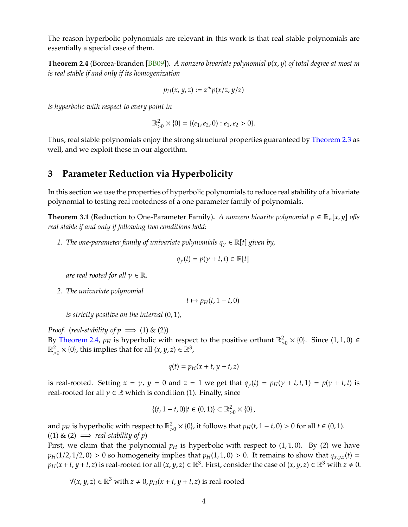The reason hyperbolic polynomials are relevant in this work is that real stable polynomials are essentially a special case of them.

<span id="page-3-0"></span>**Theorem 2.4** (Borcea-Branden [\[BB09\]](#page-13-4))**.** *A nonzero bivariate polynomial p*(*x*, *y*) *of total degree at most m is real stable if and only if its homogenization*

$$
p_H(x, y, z) := z^m p(x/z, y/z)
$$

*is hyperbolic with respect to every point in*

$$
\mathbb{R}_{>0}^2\times\{0\}=\{(e_1,e_2,0):e_1,e_2>0\}.
$$

Thus, real stable polynomials enjoy the strong structural properties guaranteed by [Theorem 2.3](#page-2-1) as well, and we exploit these in our algorithm.

## **3 Parameter Reduction via Hyperbolicity**

In this section we use the properties of hyperbolic polynomials to reduce real stability of a bivariate polynomial to testing real rootedness of a one parameter family of polynomials.

<span id="page-3-1"></span>**Theorem 3.1** (Reduction to One-Parameter Family). *A nonzero bivarite polynomial*  $p \in \mathbb{R}_n[x, y]$  *ofis real stable if and only if following two conditions hold:*

*1. The one-parameter family of univariate polynomials*  $q_{\gamma} \in \mathbb{R}[t]$  *given by,* 

$$
q_{\gamma}(t) = p(\gamma + t, t) \in \mathbb{R}[t]
$$

*are real rooted for all*  $\gamma \in \mathbb{R}$ *.* 

*2. The univariate polynomial*

$$
t\mapsto p_H(t,1-t,0)
$$

*is strictly positive on the interval* (0, 1)*,*

*Proof.* (*real-stability of*  $p \implies (1) \& (2)$ ) By [Theorem 2.4,](#page-3-0)  $p_H$  is hyperbolic with respect to the positive orthant  $\mathbb{R}^2$ ,  $_{>0}^{2}$  × {0}. Since (1, 1, 0) ∈  $\mathbb{R}^2$  $\mathbb{R}^2_{>0} \times \{0\}$ , this implies that for all  $(x, y, z) \in \mathbb{R}^3$ ,

$$
q(t) = p_H(x + t, y + t, z)
$$

is real-rooted. Setting  $x = \gamma$ ,  $y = 0$  and  $z = 1$  we get that  $q_{\gamma}(t) = p_H(\gamma + t, t, 1) = p(\gamma + t, t)$  is real-rooted for all  $\gamma \in \mathbb{R}$  which is condition (1). Finally, since

$$
\{(t,1-t,0)|t\in(0,1)\}\subset\mathbb{R}_{>0}^2\times\{0\},\,
$$

and  $p_H$  is hyperbolic with respect to  $\mathbb{R}^2_\ge$  $^{2}_{>0}$  × {0}, it follows that  $p_H(t, 1 - t, 0) > 0$  for all  $t \in (0, 1)$ .  $((1) \& (2) \implies \text{real-stability of } p)$ 

First, we claim that the polynomial  $p<sub>H</sub>$  is hyperbolic with respect to  $(1, 1, 0)$ . By  $(2)$  we have  $p_H(1/2, 1/2, 0) > 0$  so homogeneity implies that  $p_H(1, 1, 0) > 0$ . It remains to show that  $q_{x,y,z}(t) =$  $p_H(x+t, y+t, z)$  is real-rooted for all  $(x, y, z) \in \mathbb{R}^3$ . First, consider the case of  $(x, y, z) \in \mathbb{R}^3$  with  $z \neq 0$ .

 $\forall$ (*x*, *y*, *z*) ∈  $\mathbb{R}^3$  with *z* ≠ 0, *p*<sub>*H*</sub>(*x* + *t*, *y* + *t*, *z*) is real-rooted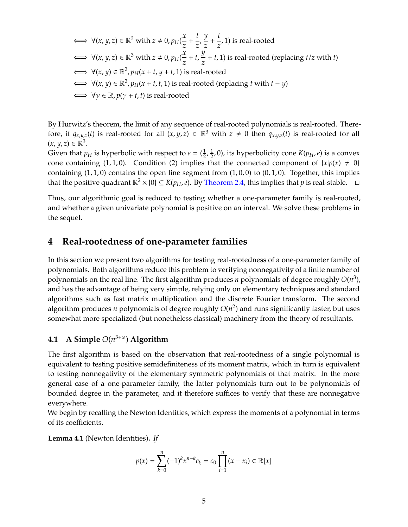$$
\iff \forall (x, y, z) \in \mathbb{R}^3 \text{ with } z \neq 0, p_H(\frac{x}{z} + \frac{t}{z}, \frac{y}{z} + \frac{t}{z}, 1) \text{ is real-rooted}
$$
\n
$$
\iff \forall (x, y, z) \in \mathbb{R}^3 \text{ with } z \neq 0, p_H(\frac{x}{z} + t, \frac{y}{z} + t, 1) \text{ is real-rooted (replacing } t/z \text{ with } t)
$$
\n
$$
\iff \forall (x, y) \in \mathbb{R}^2, p_H(x + t, y + t, 1) \text{ is real-rooted}
$$
\n
$$
\iff \forall (x, y) \in \mathbb{R}^2, p_H(x + t, t, 1) \text{ is real-rooted (replacing } t \text{ with } t - y)
$$
\n
$$
\iff \forall y \in \mathbb{R}, p(y + t, t) \text{ is real-rooted}
$$

By Hurwitz's theorem, the limit of any sequence of real-rooted polynomials is real-rooted. Therefore, if  $q_{x,y,z}(t)$  is real-rooted for all  $(x, y, z) \in \mathbb{R}^3$  with  $z \neq 0$  then  $q_{x,y,z}(t)$  is real-rooted for all  $(x, y, z) \in \mathbb{R}^3$ .

Given that  $p_H$  is hyperbolic with respect to  $e = (\frac{1}{2})$  $\frac{1}{2}$ ,  $\frac{1}{2}$  $\frac{1}{2}$ , 0), its hyperbolicity cone  $K(p_H, e)$  is a convex cone containing (1, 1, 0). Condition (2) implies that the connected component of  $\{x|p(x) \neq 0\}$ containing  $(1, 1, 0)$  contains the open line segment from  $(1, 0, 0)$  to  $(0, 1, 0)$ . Together, this implies that the positive quadrant  $\mathbb{R}^2 \times \{0\} \subseteq K(p_H,e)$ . By [Theorem 2.4,](#page-3-0) this implies that  $p$  is real-stable.  $\Box$ 

Thus, our algorithmic goal is reduced to testing whether a one-parameter family is real-rooted, and whether a given univariate polynomial is positive on an interval. We solve these problems in the sequel.

## **4 Real-rootedness of one-parameter families**

In this section we present two algorithms for testing real-rootedness of a one-parameter family of polynomials. Both algorithms reduce this problem to verifying nonnegativity of a finite number of polynomials on the real line. The first algorithm produces *n* polynomials of degree roughly *O*(*n* 3 ), and has the advantage of being very simple, relying only on elementary techniques and standard algorithms such as fast matrix multiplication and the discrete Fourier transform. The second algorithm produces *n* polynomials of degree roughly *O*(*n* 2 ) and runs significantly faster, but uses somewhat more specialized (but nonetheless classical) machinery from the theory of resultants.

## **4.1 A Simple** *O*(*n* 3+ω ) **Algorithm**

The first algorithm is based on the observation that real-rootedness of a single polynomial is equivalent to testing positive semidefiniteness of its moment matrix, which in turn is equivalent to testing nonnegativity of the elementary symmetric polynomials of that matrix. In the more general case of a one-parameter family, the latter polynomials turn out to be polynomials of bounded degree in the parameter, and it therefore suffices to verify that these are nonnegative everywhere.

We begin by recalling the Newton Identities, which express the moments of a polynomial in terms of its coefficients.

<span id="page-4-0"></span>**Lemma 4.1** (Newton Identities)**.** *If*

$$
p(x) = \sum_{k=0}^{n} (-1)^k x^{n-k} c_k = c_0 \prod_{i=1}^{n} (x - x_i) \in \mathbb{R}[x]
$$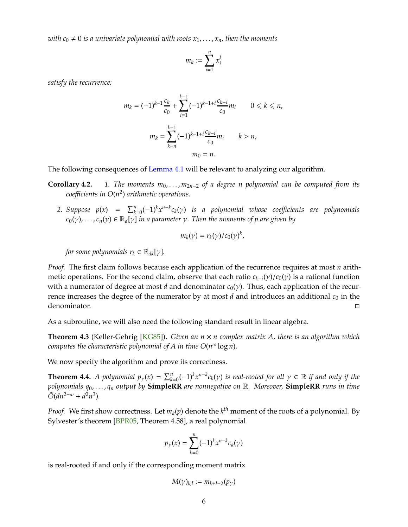*with*  $c_0 \neq 0$  *is a univariate polynomial with roots*  $x_1, \ldots, x_n$ *, then the moments* 

$$
m_k := \sum_{i=1}^n x_i^k
$$

*satisfy the recurrence:*

$$
m_k = (-1)^{k-1} \frac{c_k}{c_0} + \sum_{i=1}^{k-1} (-1)^{k-1+i} \frac{c_{k-i}}{c_0} m_i \qquad 0 \le k \le n,
$$
  

$$
m_k = \sum_{k-n}^{k-1} (-1)^{k-1+i} \frac{c_{k-i}}{c_0} m_i \qquad k > n,
$$
  

$$
m_0 = n.
$$

The following consequences of [Lemma 4.1](#page-4-0) will be relevant to analyzing our algorithm.

- **Corollary 4.2.** *1. The moments*  $m_0, \ldots, m_{2n-2}$  *of a degree n polynomial can be computed from its coe*ffi*cients in O*(*n* 2 ) *arithmetic operations.*
	- 2. Suppose  $p(x) = \sum_{k=0}^{n} (-1)^k x^{n-k} c_k(y)$  is a polynomial whose coefficients are polynomials  $c_0(\gamma)$ , . . . ,  $c_n(\gamma) \in \mathbb{R}_d[\gamma]$  *in a parameter*  $\gamma$ . Then the moments of p are given by

$$
m_k(\gamma) = r_k(\gamma)/c_0(\gamma)^k,
$$

*for some polynomials*  $r_k \in \mathbb{R}_{dk}[\gamma]$ *.* 

*Proof.* The first claim follows because each application of the recurrence requires at most *n* arithmetic operations. For the second claim, observe that each ratio *ck*−*<sup>i</sup>* (γ)/*c*0(γ) is a rational function with a numerator of degree at most *d* and denominator *c*<sub>0</sub>(γ). Thus, each application of the recurrence increases the degree of the numerator by at most *d* and introduces an additional  $c_0$  in the denominator. □

As a subroutine, we will also need the following standard result in linear algebra.

<span id="page-5-0"></span>**Theorem 4.3** (Keller-Gehrig [\[KG85\]](#page-13-8))**.** *Given an n* × *n complex matrix A, there is an algorithm which computes the characteristic polynomial of A in time O*(*n* <sup>ω</sup> log *n*)*.*

We now specify the algorithm and prove its correctness.

**Theorem 4.4.** A polynomial  $p_\gamma(x) = \sum_{k=0}^n (-1)^k x^{n-k} c_k(\gamma)$  is real-rooted for all  $\gamma \in \mathbb{R}$  if and only if the *polynomials q*0, . . . , *q<sup>n</sup> output by* **SimpleRR** *are nonnegative on* R*. Moreover,* **SimpleRR** *runs in time*  $\tilde{O}(dn^{2+\omega} + d^2n^3)$ .

*Proof.* We first show correctness. Let  $m_k(p)$  denote the  $k^{th}$  moment of the roots of a polynomial. By Sylvester's theorem [\[BPR05,](#page-13-3) Theorem 4.58], a real polynomial

$$
p_\gamma(x)=\sum_{k=0}^n(-1)^kx^{n-k}c_k(\gamma)
$$

is real-rooted if and only if the corresponding moment matrix

$$
M(\gamma)_{k,l} := m_{k+l-2}(p_{\gamma})
$$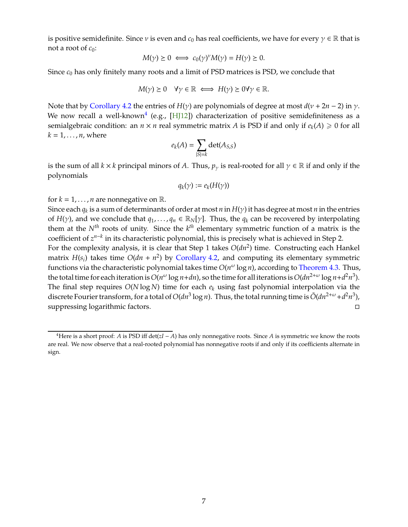is positive semidefinite. Since  $\nu$  is even and  $c_0$  has real coefficients, we have for every  $\gamma \in \mathbb{R}$  that is not a root of  $c_0$ :

$$
M(\gamma) \ge 0 \iff c_0(\gamma)^{\nu} M(\gamma) = H(\gamma) \ge 0.
$$

Since *c*<sup>0</sup> has only finitely many roots and a limit of PSD matrices is PSD, we conclude that

$$
M(\gamma) \ge 0 \quad \forall \gamma \in \mathbb{R} \iff H(\gamma) \ge 0 \forall \gamma \in \mathbb{R}.
$$

Note that by Corollary 4.2 the entries of  $H(y)$  are polynomials of degree at most  $d(v + 2n - 2)$  in  $\gamma$ . We now recall a well-known $^4$  $^4$  (e.g., [\[HJ12\]](#page-13-9)) characterization of positive semidefiniteness as a semialgebraic condition: an  $n \times n$  real symmetric matrix  $A$  is PSD if and only if  $e_k(A) \geq 0$  for all  $k = 1, \ldots, n$ , where

$$
e_k(A) = \sum_{|S|=k} \det(A_{S,S})
$$

is the sum of all  $k \times k$  principal minors of *A*. Thus,  $p_{\gamma}$  is real-rooted for all  $\gamma \in \mathbb{R}$  if and only if the polynomials

$$
q_k(\gamma) := e_k(H(\gamma))
$$

for  $k = 1, \ldots, n$  are nonnegative on  $\mathbb{R}$ .

Since each *q<sup>k</sup>* is a sum of determinants of order at most *n* in *H*(γ) it has degree at most *n* in the entries of *H*(*γ*), and we conclude that  $q_1, \ldots, q_n \in \mathbb{R}_N[\gamma]$ . Thus, the  $q_k$  can be recovered by interpolating them at the *Nth* roots of unity. Since the *k th* elementary symmetric function of a matrix is the coefficient of *z<sup>n-k</sup>* in its characteristic polynomial, this is precisely what is achieved in Step 2.

For the complexity analysis, it is clear that Step 1 takes  $O(dn^2)$  time. Constructing each Hankel matrix  $H(s_i)$  takes time  $O(dn + n^2)$  by Corollary 4.2, and computing its elementary symmetric functions via the characteristic polynomial takes time  $O(n^{\omega} \log n)$ , according to [Theorem 4.3.](#page-5-0) Thus, the total time for each iteration is  $O(n^{\omega} \log n + dn)$ , so the time for all iterations is  $O(dn^{2+\omega} \log n + d^2 n^3)$ . The final step requires *O*(*N* log *N*) time for each *e<sup>k</sup>* using fast polynomial interpolation via the discrete Fourier transform, for a total of  $O(dn^3 \log n)$ . Thus, the total running time is  $\tilde{O}(dn^{2+\omega} + d^2n^3)$ , suppressing logarithmic factors.

<span id="page-6-0"></span><sup>&</sup>lt;sup>4</sup>Here is a short proof: *A* is PSD iff det( $zI - A$ ) has only nonnegative roots. Since *A* is symmetric we know the roots are real. We now observe that a real-rooted polynomial has nonnegative roots if and only if its coefficients alternate in sign.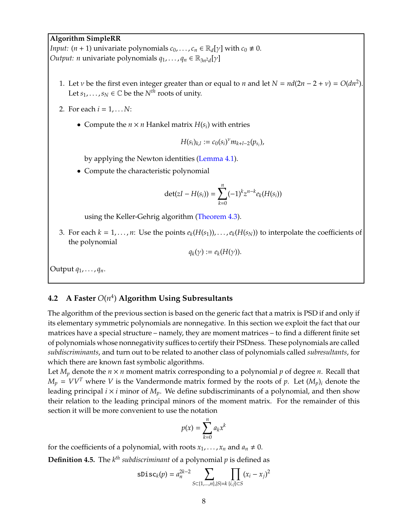#### **Algorithm SimpleRR**

*Input:*  $(n + 1)$  univariate polynomials  $c_0, \ldots, c_n \in \mathbb{R}_d[\gamma]$  with  $c_0 \neq 0$ . *Output: n* univariate polynomials *q*<sub>1</sub>, . . . , *q*<sub>*n*</sub> ∈ ℝ<sub>3*n*</sub>2*d*[γ]

- 1. Let *v* be the first even integer greater than or equal to *n* and let  $N = nd(2n 2 + v) = O(dn^2)$ . Let  $s_1, \ldots, s_N \in \mathbb{C}$  be the  $N^{th}$  roots of unity.
- 2. For each *i* = 1, . . . *N*:
	- Compute the  $n \times n$  Hankel matrix  $H(s_i)$  with entries

$$
H(s_i)_{k,l} := c_0(s_i)^{\nu} m_{k+l-2}(p_{s_i}),
$$

by applying the Newton identities [\(Lemma 4.1\)](#page-4-0).

• Compute the characteristic polynomial

$$
\det(zI - H(s_i)) = \sum_{k=0}^{n} (-1)^k z^{n-k} e_k(H(s_i))
$$

using the Keller-Gehrig algorithm [\(Theorem 4.3\)](#page-5-0).

3. For each  $k = 1, ..., n$ : Use the points  $e_k(H(s_1)), ..., e_k(H(s_N))$  to interpolate the coefficients of the polynomial

$$
q_k(\gamma) := e_k(H(\gamma)).
$$

Output *q*1, . . . , *qn*.

## **4.2 A Faster** *O*(*n* 4 ) **Algorithm Using Subresultants**

The algorithm of the previous section is based on the generic fact that a matrix is PSD if and only if its elementary symmetric polynomials are nonnegative. In this section we exploit the fact that our matrices have a special structure – namely, they are moment matrices – to find a different finite set of polynomials whose nonnegativity suffices to certify their PSDness. These polynomials are called *subdiscriminants*, and turn out to be related to another class of polynomials called *subresultants*, for which there are known fast symbolic algorithms.

Let  $M_p$  denote the  $n \times n$  moment matrix corresponding to a polynomial  $p$  of degree  $n$ . Recall that  $M_p = VV^T$  where *V* is the Vandermonde matrix formed by the roots of *p*. Let  $(M_p)_i$  denote the leading principal  $i \times i$  minor of  $M_p$ . We define subdiscriminants of a polynomial, and then show their relation to the leading principal minors of the moment matrix. For the remainder of this section it will be more convenient to use the notation

$$
p(x) = \sum_{k=0}^n a_k x^k
$$

for the coefficients of a polynomial, with roots  $x_1, \ldots, x_n$  and  $a_n \neq 0$ .

**Definition 4.5.** The *k th subdiscriminant* of a polynomial *p* is defined as

$$
sDisc_k(p) = a_n^{2k-2} \sum_{S \subset \{1,\dots,n\}, |S|=k} \prod_{\{i,j\} \subset S} (x_i - x_j)^2
$$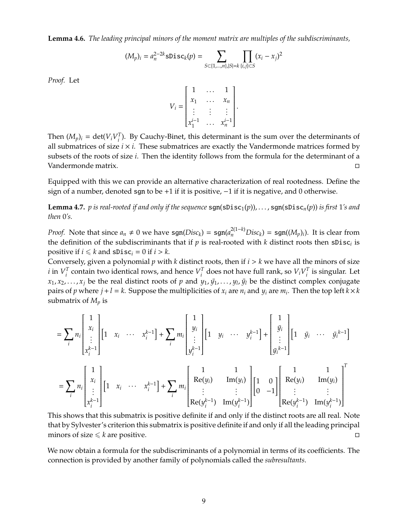**Lemma 4.6.** *The leading principal minors of the moment matrix are multiples of the subdiscriminants,*

$$
(M_p)_i = a_n^{2-2k} \text{slisc}_k(p) = \sum_{S \subset \{1, \dots, n\}, |S| = k} \prod_{\{i,j\} \subset S} (x_i - x_j)^2
$$

*Proof.* Let

$$
V_{i} = \begin{bmatrix} 1 & \dots & 1 \\ x_{1} & \dots & x_{n} \\ \vdots & \vdots & \vdots \\ x_{1}^{i-1} & \dots & x_{n}^{i-1} \end{bmatrix}.
$$

Then  $(M_p)_i = \det(V_i V_i^T)$ *i* ). By Cauchy-Binet, this determinant is the sum over the determinants of all submatrices of size  $i \times i$ . These submatrices are exactly the Vandermonde matrices formed by subsets of the roots of size *i*. Then the identity follows from the formula for the determinant of a Vandermonde matrix.

Equipped with this we can provide an alternative characterization of real rootedness. Define the sign of a number, denoted sgn to be +1 if it is positive,  $-1$  if it is negative, and 0 otherwise.

<span id="page-8-0"></span>**Lemma 4.7.** *p* is real-rooted if and only if the sequence  $sgn(sDisc_1(p))$ , ...,  $sgn(sDisc_n(p))$  is first 1's and *then* 0*'s.*

*Proof.* Note that since  $a_n \neq 0$  we have  $sgn(Disc_k) = sgn(a_n^{2(1-k)}Disc_k) = sgn((M_p)_i)$ . It is clear from the definition of the subdiscriminants that if  $p$  is real-rooted with  $k$  distinct roots then  $\textsf{sDisc}_i$  is positive if  $i \leq k$  and  $sDisc_i = 0$  if  $i > k$ .

Conversely, given a polynomial *p* with *k* distinct roots, then if *i* > *k* we have all the minors of size  $i$  in  $V_i^T$  $I_i^T$  contain two identical rows, and hence  $V_i^T$  $T_i^T$  does not have full rank, so  $V_i V_i^T$  $\int_i^I$  is singular. Let *x*<sub>1</sub>, *x*<sub>2</sub>, . . . , *x*<sub>j</sub> be the real distinct roots of *p* and *y*<sub>1</sub>, *y*<sub>1</sub>, *y*<sub>1</sub>, *y*<sub>1</sub>, *y*<sub>1</sub> be the distinct complex conjugate pairs of *p* where  $j + l = k$ . Suppose the multiplicities of  $x_i$  are  $n_i$  and  $y_i$  are  $m_i$ . Then the top left  $k \times k$ submatrix of *M<sup>p</sup>* is

$$
= \sum_{i} n_{i} \begin{bmatrix} 1 \\ x_{i} \\ \vdots \\ x_{i}^{k-1} \end{bmatrix} \begin{bmatrix} 1 & x_{i} & \cdots & x_{i}^{k-1} \end{bmatrix} + \sum_{i} m_{i} \begin{bmatrix} 1 \\ y_{i} \\ \vdots \\ y_{i}^{k-1} \end{bmatrix} \begin{bmatrix} 1 & y_{i} & \cdots & y_{i}^{k-1} \end{bmatrix} + \begin{bmatrix} 1 \\ \frac{y_{i}}{y_{i}} \\ \vdots \\ y_{i}^{k-1} \end{bmatrix} \begin{bmatrix} 1 & y_{i} & \cdots & y_{i}^{k-1} \end{bmatrix} + \begin{bmatrix} 1 \\ y_{i} \\ \vdots \\ y_{i}^{k-1} \end{bmatrix} \begin{bmatrix} 1 & y_{i} & \cdots & y_{i}^{k-1} \end{bmatrix}
$$

$$
= \sum_{i} n_{i} \begin{bmatrix} 1 \\ x_{i} \\ \vdots \\ x_{i}^{k-1} \end{bmatrix} \begin{bmatrix} 1 & x_{i} & \cdots & x_{i}^{k-1} \end{bmatrix} + \sum_{i} m_{i} \begin{bmatrix} 1 & 1 \\ \text{Re}(y_{i}) & \text{Im}(y_{i}) \\ \vdots & \vdots \\ \text{Re}(y_{i}^{k-1}) & \text{Im}(y_{i}^{k-1}) \end{bmatrix} \begin{bmatrix} 1 & 0 \\ 0 & -1 \end{bmatrix} \begin{bmatrix} 1 & 1 & 1 \\ \text{Re}(y_{i}) & \text{Im}(y_{i}) \\ \vdots & \vdots \\ \text{Re}(y_{i}^{k-1}) & \text{Im}(y_{i}^{k-1}) \end{bmatrix}
$$

This shows that this submatrix is positive definite if and only if the distinct roots are all real. Note that by Sylvester's criterion this submatrix is positive definite if and only if all the leading principal minors of size  $\leq k$  are positive.

We now obtain a formula for the subdiscriminants of a polynomial in terms of its coefficients. The connection is provided by another family of polynomials called the *subresultants*.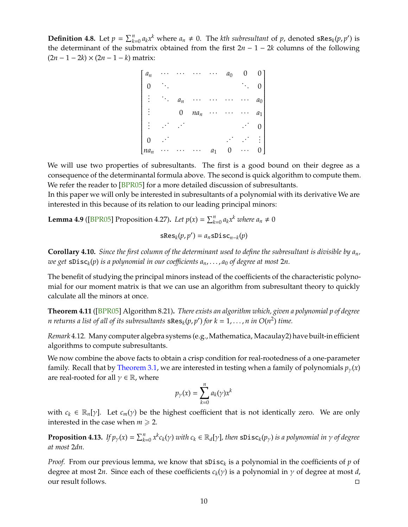**Definition 4.8.** Let  $p = \sum_{k=0}^{n} a_k x^k$  where  $a_n \neq 0$ . The *kth subresultant* of  $p$ , denoted sRes<sub>*k</sub>*( $p$ , $p'$ ) is</sub> the determinant of the submatrix obtained from the first  $2n - 1 - 2k$  columns of the following (2*n* − 1 − 2*k*) × (2*n* − 1 − *k*) matrix:

| $a_n$          |       |        |       | $a_0$ |                                                         |
|----------------|-------|--------|-------|-------|---------------------------------------------------------|
|                |       |        |       |       |                                                         |
| $\mathsf{l}$   | $a_n$ |        |       |       | $\begin{bmatrix} 0 \\ 0 \\ a_0 \end{bmatrix}$           |
| $\mathsf{l}$   | 0     | $na_n$ |       |       |                                                         |
| I              |       |        |       |       | $\begin{bmatrix} a_1 \\ 0 \\ \vdots \\ 0 \end{bmatrix}$ |
|                |       |        |       |       |                                                         |
| $\lfloor na_n$ |       |        | $a_1$ | 0     |                                                         |

We will use two properties of subresultants. The first is a good bound on their degree as a consequence of the determinantal formula above. The second is quick algorithm to compute them. We refer the reader to [\[BPR05\]](#page-13-3) for a more detailed discussion of subresultants.

In this paper we will only be interested in subresultants of a polynomial with its derivative We are interested in this because of its relation to our leading principal minors:

**Lemma 4.9** ([\[BPR05\]](#page-13-3) Proposition 4.27). Let  $p(x) = \sum_{k=0}^{n} a_k x^k$  where  $a_n \neq 0$ 

$$
sRes_k(p, p') = a_n sDisc_{n-k}(p)
$$

**Corollary 4.10.** *Since the first column of the determinant used to define the subresultant is divisible by an, we get* sDisc*<sup>k</sup>* (*p*) *is a polynomial in our coe*ffi*cients an*, . . . , *a*<sup>0</sup> *of degree at most* 2*n.*

The benefit of studying the principal minors instead of the coefficients of the characteristic polynomial for our moment matrix is that we can use an algorithm from subresultant theory to quickly calculate all the minors at once.

<span id="page-9-0"></span>**Theorem 4.11** ([\[BPR05\]](#page-13-3) Algorithm 8.21)**.** *There exists an algorithm which, given a polynomial p of degree n returns a list of all of its subresultants*  $\texttt{sRes}_k(p,p')$  *for*  $k = 1, \ldots, n$  *in*  $O(n^2)$  *time.* 

*Remark* 4.12*.* Many computer algebra systems (e.g.,Mathematica, Macaulay2) have built-in efficient algorithms to compute subresultants.

We now combine the above facts to obtain a crisp condition for real-rootedness of a one-parameter family. Recall that by [Theorem 3.1,](#page-3-1) we are interested in testing when a family of polynomials  $p_{\gamma}(x)$ are real-rooted for all  $\gamma \in \mathbb{R}$ , where

$$
p_{\gamma}(x) = \sum_{k=0}^{n} a_k(\gamma) x^k
$$

with  $c_k \in \mathbb{R}_n[\gamma]$ . Let  $c_m(\gamma)$  be the highest coefficient that is not identically zero. We are only interested in the case when  $m \geq 2$ .

**Proposition 4.13.** If  $p_\gamma(x) = \sum_{k=0}^n x^k c_k(y)$  with  $c_k \in \mathbb{R}_d[\gamma]$ , then  $\texttt{sDisc}_k(p_\gamma)$  is a polynomial in  $\gamma$  of degree *at most* 2*dn.*

*Proof.* From our previous lemma, we know that  $\text{sDisc}_k$  is a polynomial in the coefficients of  $p$  of degree at most 2*n*. Since each of these coefficients  $c_k(y)$  is a polynomial in  $\gamma$  of degree at most *d*, our result follows.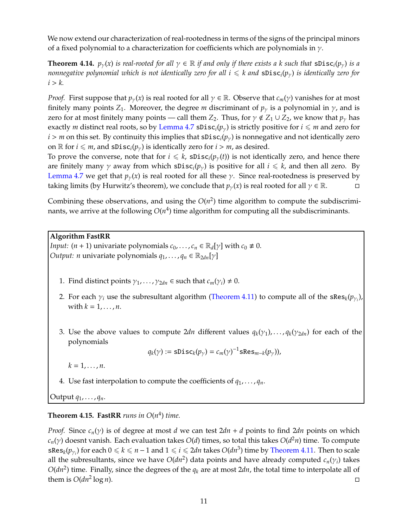We now extend our characterization of real-rootedness in terms of the signs of the principal minors of a fixed polynomial to a characterization for coefficients which are polynomials in  $\gamma$ .

**Theorem 4.14.**  $p_{\gamma}(x)$  is real-rooted for all  $\gamma \in \mathbb{R}$  if and only if there exists a k such that  $\text{SDisc}_i(p_{\gamma})$  is a *nonnegative polynomial which is not identically zero for all*  $i \le k$  *and*  $sDisc_i(p_v)$  *is identically zero for*  $i > k$ .

*Proof.* First suppose that  $p_{\gamma}(x)$  is real rooted for all  $\gamma \in \mathbb{R}$ . Observe that  $c_m(\gamma)$  vanishes for at most finitely many points  $Z_1$ . Moreover, the degree *m* discriminant of  $p<sub>y</sub>$  is a polynomial in  $\gamma$ , and is zero for at most finitely many points — call them *Z*<sub>2</sub>. Thus, for  $\gamma \notin Z_1 \cup Z_2$ , we know that  $p_\gamma$  has exactly *m* distinct real roots, so by [Lemma 4.7](#page-8-0) sDisc<sub>*i*</sub>( $p_{\gamma}$ ) is strictly positive for  $i \leq m$  and zero for  $i > m$  on this set. By continuity this implies that  $sDisc_i(p_y)$  is nonnegative and not identically zero on  $\mathbb{R}$  for  $i \leq m$ , and  $\text{spis}(\mathcal{p}_{\nu})$  is identically zero for  $i > m$ , as desired.

To prove the converse, note that for  $i \leq k$ , sDisc<sub>*i*</sub>( $p_{\gamma}(t)$ ) is not identically zero, and hence there are finitely many  $\gamma$  away from which  $sDisc_i(p_\gamma)$  is positive for all  $i \leq k$ , and then all zero. By [Lemma 4.7](#page-8-0) we get that  $p_{\gamma}(x)$  is real rooted for all these  $\gamma$ . Since real-rootedness is preserved by taking limits (by Hurwitz's theorem), we conclude that  $p_{\gamma}(x)$  is real rooted for all  $\gamma \in \mathbb{R}$ .

Combining these observations, and using the  $O(n^2)$  time algorithm to compute the subdiscriminants, we arrive at the following  $O(n^4)$  time algorithm for computing all the subdiscriminants.

#### **Algorithm FastRR**

*Input:*  $(n + 1)$  univariate polynomials  $c_0, \ldots, c_n \in \mathbb{R}_d[\gamma]$  with  $c_0 \neq 0$ . *Output: n* univariate polynomials  $q_1, \ldots, q_n \in \mathbb{R}_{2dn}[\gamma]$ 

- 1. Find distinct points  $\gamma_1, \ldots, \gamma_{2dn} \in$  such that  $c_m(\gamma_i) \neq 0$ .
- 2. For each  $\gamma_i$  use the subresultant algorithm [\(Theorem 4.11\)](#page-9-0) to compute all of the sRes<sub>k</sub>( $p_{\gamma_i}$ ), with  $k = 1, \ldots, n$ .
- 3. Use the above values to compute  $2dn$  different values  $q_k(\gamma_1), \ldots, q_k(\gamma_{2dn})$  for each of the polynomials

 $q_k(\gamma) := \text{sDisc}_k(p_\gamma) = c_m(\gamma)^{-1} \text{sRes}_{m-k}(p_\gamma)$ ),

 $k = 1, \ldots, n$ .

4. Use fast interpolation to compute the coefficients of  $q_1, \ldots, q_n$ .

Output *q*1, . . . , *qn*.

## <span id="page-10-0"></span>**Theorem 4.15. FastRR** runs in  $O(n^4)$  time.

*Proof.* Since *cn*(γ) is of degree at most *d* we can test 2*dn* + *d* points to find 2*dn* points on which *cn*(γ) doesnt vanish. Each evaluation takes *O*(*d*) times, so total this takes *O*(*d* <sup>2</sup>*n*) time. To compute  $sRes_k(p_{\gamma_i})$  for each  $0\leqslant k\leqslant n-1$  and  $1\leqslant i\leqslant 2dn$  takes  $O(dn^3)$  time by [Theorem 4.11.](#page-9-0) Then to scale all the subresultants, since we have  $O(dn^2)$  data points and have already computed  $c_n(\gamma_i)$  takes  $O(dn^2)$  time. Finally, since the degrees of the  $q_k$  are at most 2*dn*, the total time to interpolate all of them is  $O(dn^2 \log n)$ .  $\log n$ ).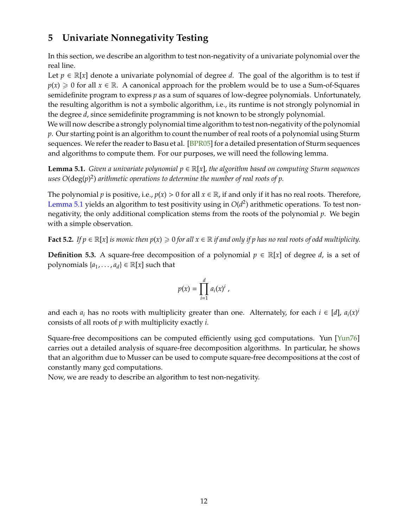# **5 Univariate Nonnegativity Testing**

In this section, we describe an algorithm to test non-negativity of a univariate polynomial over the real line.

Let  $p \in \mathbb{R}[x]$  denote a univariate polynomial of degree *d*. The goal of the algorithm is to test if  $p(x) \ge 0$  for all  $x \in \mathbb{R}$ . A canonical approach for the problem would be to use a Sum-of-Squares semidefinite program to express *p* as a sum of squares of low-degree polynomials. Unfortunately, the resulting algorithm is not a symbolic algorithm, i.e., its runtime is not strongly polynomial in the degree *d*, since semidefinite programming is not known to be strongly polynomial.

We will now describe a strongly polynomial time algorithm to test non-negativity of the polynomial *p*. Our starting point is an algorithm to count the number of real roots of a polynomial using Sturm sequences. We refer the reader to Basu et al. [\[BPR05\]](#page-13-3) for a detailed presentation of Sturm sequences and algorithms to compute them. For our purposes, we will need the following lemma.

<span id="page-11-0"></span>**Lemma 5.1.** *Given a univariate polynomial p* ∈ R[*x*]*, the algorithm based on computing Sturm sequences uses O*(deg(*p*) 2 ) *arithmetic operations to determine the number of real roots of p.*

The polynomial *p* is positive, i.e.,  $p(x) > 0$  for all  $x \in \mathbb{R}$ , if and only if it has no real roots. Therefore, [Lemma 5.1](#page-11-0) yields an algorithm to test positivity using in  $O(d^2)$  arithmetic operations. To test nonnegativity, the only additional complication stems from the roots of the polynomial *p*. We begin with a simple observation.

**Fact 5.2.** *If*  $p \in \mathbb{R}[x]$  *is monic then*  $p(x) \ge 0$  *for all*  $x \in \mathbb{R}$  *if and only if*  $p$  *has no real roots of odd multiplicity.* 

**Definition 5.3.** A square-free decomposition of a polynomial  $p \in \mathbb{R}[x]$  of degree *d*, is a set of polynomials  $\{a_1, \ldots, a_d\} \in \mathbb{R}[x]$  such that

$$
p(x) = \prod_{i=1}^d a_i(x)^i,
$$

and each  $a_i$  has no roots with multiplicity greater than one. Alternately, for each  $i \in [d]$ ,  $a_i(x)^i$ consists of all roots of *p* with multiplicity exactly *i*.

Square-free decompositions can be computed efficiently using gcd computations. Yun [\[Yun76\]](#page-14-8) carries out a detailed analysis of square-free decomposition algorithms. In particular, he shows that an algorithm due to Musser can be used to compute square-free decompositions at the cost of constantly many gcd computations.

Now, we are ready to describe an algorithm to test non-negativity.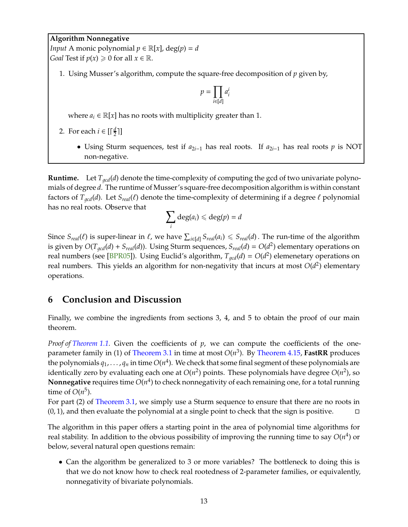#### **Algorithm Nonnegative**

*Input* A monic polynomial  $p \in \mathbb{R}[x]$ , deg( $p$ ) = *d Goal* Test if  $p(x) \ge 0$  for all  $x \in \mathbb{R}$ .

1. Using Musser's algorithm, compute the square-free decomposition of *p* given by,

$$
p = \prod_{i \in [d]} a_i^i
$$

where  $a_i$  ∈  $\mathbb{R}[x]$  has no roots with multiplicity greater than 1.

- 2. For each  $i \in \left[\frac{d}{2}\right]$  $\frac{d}{2}$ ]]
	- Using Sturm sequences, test if *a*2*i*−<sup>1</sup> has real roots. If *a*2*i*−<sup>1</sup> has real roots *p* is NOT non-negative.

**Runtime.** Let  $T_{\text{gcd}}(d)$  denote the time-complexity of computing the gcd of two univariate polynomials of degree *d*. The runtime of Musser's square-free decomposition algorithm is within constant factors of  $T_{\text{gcd}}(d)$ . Let  $S_{\text{real}}(\ell)$  denote the time-complexity of determining if a degree  $\ell$  polynomial has no real roots. Observe that

$$
\sum_i \deg(a_i) \leqslant \deg(p) = d
$$

Since  $S_{real}(\ell)$  is super-linear in  $\ell$ , we have  $\sum_{i\in[d]}S_{real}(a_i)\leqslant S_{real}(d)$ . The run-time of the algorithm is given by  $O(T_{gcd}(d) + S_{real}(d))$ . Using Sturm sequences,  $S_{real}(d) = O(d^2)$  elementary operations on real numbers (see [\[BPR05\]](#page-13-3)). Using Euclid's algorithm,  $T_{gcd}(d) = O(d^2)$  elemenetary operations on real numbers. This yields an algorithm for non-negativity that incurs at most  $O(d^2)$  elementary operations.

## **6 Conclusion and Discussion**

Finally, we combine the ingredients from sections 3, 4, and 5 to obtain the proof of our main theorem.

*Proof of [Theorem 1.1.](#page-0-2)* Given the coefficients of *p*, we can compute the coefficients of the oneparameter family in (1) of [Theorem 3.1](#page-3-1) in time at most *O*(*n* 3 ). By [Theorem 4.15,](#page-10-0) **FastRR** produces the polynomials  $q_1,\ldots,q_n$  in time  $O(n^4)$ . We check that some final segment of these polynomials are identically zero by evaluating each one at  $O(n^2)$  points. These polynomials have degree  $O(n^2)$ , so  $\bf{Nonnegative}$  requires time  $O(n^4)$  to check nonnegativity of each remaining one, for a total running time of  $O(n^5)$ .

For part (2) of [Theorem 3.1,](#page-3-1) we simply use a Sturm sequence to ensure that there are no roots in  $(0, 1)$ , and then evaluate the polynomial at a single point to check that the sign is positive.  $\Box$ 

The algorithm in this paper offers a starting point in the area of polynomial time algorithms for real stability. In addition to the obvious possibility of improving the running time to say  $O(n^4)$  or below, several natural open questions remain:

• Can the algorithm be generalized to 3 or more variables? The bottleneck to doing this is that we do not know how to check real rootedness of 2-parameter families, or equivalently, nonnegativity of bivariate polynomials.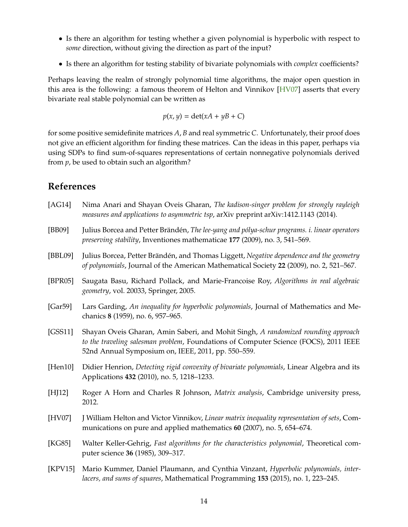- Is there an algorithm for testing whether a given polynomial is hyperbolic with respect to *some* direction, without giving the direction as part of the input?
- Is there an algorithm for testing stability of bivariate polynomials with *complex* coefficients?

Perhaps leaving the realm of strongly polynomial time algorithms, the major open question in this area is the following: a famous theorem of Helton and Vinnikov [\[HV07\]](#page-13-10) asserts that every bivariate real stable polynomial can be written as

$$
p(x, y) = \det(xA + yB + C)
$$

for some positive semidefinite matrices *A*, *B* and real symmetric *C*. Unfortunately, their proof does not give an efficient algorithm for finding these matrices. Can the ideas in this paper, perhaps via using SDPs to find sum-of-squares representations of certain nonnegative polynomials derived from *p*, be used to obtain such an algorithm?

## **References**

- <span id="page-13-0"></span>[AG14] Nima Anari and Shayan Oveis Gharan, *The kadison-singer problem for strongly rayleigh measures and applications to asymmetric tsp*, arXiv preprint arXiv:1412.1143 (2014).
- <span id="page-13-4"></span>[BB09] Julius Borcea and Petter Brändén, *The lee-yang and pólya-schur programs. i. linear operators preserving stability*, Inventiones mathematicae **177** (2009), no. 3, 541–569.
- <span id="page-13-2"></span>[BBL09] Julius Borcea, Petter Brändén, and Thomas Liggett, *Negative dependence and the geometry of polynomials*, Journal of the American Mathematical Society **22** (2009), no. 2, 521–567.
- <span id="page-13-3"></span>[BPR05] Saugata Basu, Richard Pollack, and Marie-Francoise Roy, *Algorithms in real algebraic geometry*, vol. 20033, Springer, 2005.
- <span id="page-13-7"></span>[Gar59] Lars Garding, *An inequality for hyperbolic polynomials*, Journal of Mathematics and Mechanics **8** (1959), no. 6, 957–965.
- <span id="page-13-1"></span>[GSS11] Shayan Oveis Gharan, Amin Saberi, and Mohit Singh, *A randomized rounding approach to the traveling salesman problem*, Foundations of Computer Science (FOCS), 2011 IEEE 52nd Annual Symposium on, IEEE, 2011, pp. 550–559.
- <span id="page-13-5"></span>[Hen10] Didier Henrion, *Detecting rigid convexity of bivariate polynomials*, Linear Algebra and its Applications **432** (2010), no. 5, 1218–1233.
- <span id="page-13-9"></span>[HJ12] Roger A Horn and Charles R Johnson, *Matrix analysis*, Cambridge university press, 2012.
- <span id="page-13-10"></span>[HV07] J William Helton and Victor Vinnikov, *Linear matrix inequality representation of sets*, Communications on pure and applied mathematics **60** (2007), no. 5, 654–674.
- <span id="page-13-8"></span>[KG85] Walter Keller-Gehrig, *Fast algorithms for the characteristics polynomial*, Theoretical computer science **36** (1985), 309–317.
- <span id="page-13-6"></span>[KPV15] Mario Kummer, Daniel Plaumann, and Cynthia Vinzant, *Hyperbolic polynomials, interlacers, and sums of squares*, Mathematical Programming **153** (2015), no. 1, 223–245.